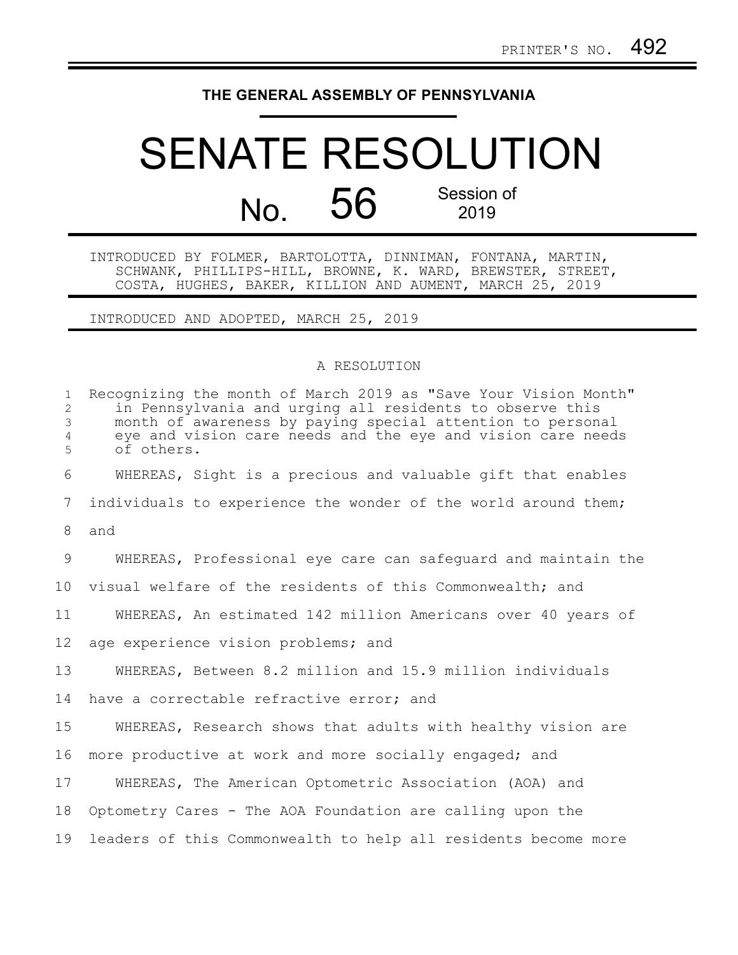## **THE GENERAL ASSEMBLY OF PENNSYLVANIA**

## SENATE RESOLUTION No. 56 Session of 2019

INTRODUCED BY FOLMER, BARTOLOTTA, DINNIMAN, FONTANA, MARTIN, SCHWANK, PHILLIPS-HILL, BROWNE, K. WARD, BREWSTER, STREET, COSTA, HUGHES, BAKER, KILLION AND AUMENT, MARCH 25, 2019

INTRODUCED AND ADOPTED, MARCH 25, 2019

## A RESOLUTION

| $\mathbf{1}$<br>$\overline{2}$<br>3<br>$\overline{4}$<br>5 | Recognizing the month of March 2019 as "Save Your Vision Month"<br>in Pennsylvania and urging all residents to observe this<br>month of awareness by paying special attention to personal<br>eye and vision care needs and the eye and vision care needs<br>of others. |
|------------------------------------------------------------|------------------------------------------------------------------------------------------------------------------------------------------------------------------------------------------------------------------------------------------------------------------------|
| 6                                                          | WHEREAS, Sight is a precious and valuable gift that enables                                                                                                                                                                                                            |
| $7\phantom{.0}$                                            | individuals to experience the wonder of the world around them;                                                                                                                                                                                                         |
| 8                                                          | and                                                                                                                                                                                                                                                                    |
| 9                                                          | WHEREAS, Professional eye care can safeguard and maintain the                                                                                                                                                                                                          |
| 10 <sub>o</sub>                                            | visual welfare of the residents of this Commonwealth; and                                                                                                                                                                                                              |
| 11                                                         | WHEREAS, An estimated 142 million Americans over 40 years of                                                                                                                                                                                                           |
| 12                                                         | age experience vision problems; and                                                                                                                                                                                                                                    |
| 13                                                         | WHEREAS, Between 8.2 million and 15.9 million individuals                                                                                                                                                                                                              |
| 14                                                         | have a correctable refractive error; and                                                                                                                                                                                                                               |
| 15                                                         | WHEREAS, Research shows that adults with healthy vision are                                                                                                                                                                                                            |
| 16                                                         | more productive at work and more socially engaged; and                                                                                                                                                                                                                 |
| 17                                                         | WHEREAS, The American Optometric Association (AOA) and                                                                                                                                                                                                                 |
| 18                                                         | Optometry Cares - The AOA Foundation are calling upon the                                                                                                                                                                                                              |
| 19                                                         | leaders of this Commonwealth to help all residents become more                                                                                                                                                                                                         |